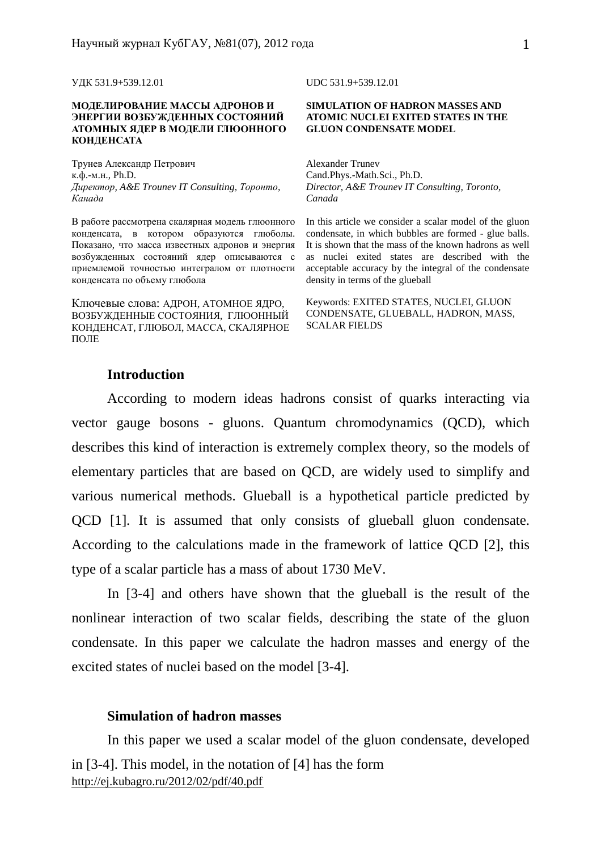УДК 531.9+539.12.01 UDC 531.9+539.12.01

#### **МОДЕЛИРОВАНИЕ МАССЫ АДРОНОВ И ЭНЕРГИИ ВОЗБУЖДЕННЫХ СОСТОЯНИЙ АТОМНЫХ ЯДЕР В МОДЕЛИ ГЛЮОННОГО КОНДЕНСАТА**

Трунев Александр Петрович к.ф.-м.н., Ph.D. *Директор, A&E Trounev IT Consulting, Торонто, Канада*

В работе рассмотрена скалярная модель глюонного конденсата, в котором образуются глюболы. Показано, что масса известных адронов и энергия возбужденных состояний ядер описываются с приемлемой точностью интегралом от плотности конденсата по объему глюбола

Ключевые слова: АДРОН, АТОМНОЕ ЯДРО, ВОЗБУЖДЕННЫЕ СОСТОЯНИЯ, ГЛЮОННЫЙ КОНДЕНСАТ, ГЛЮБОЛ, МАССА, СКАЛЯРНОЕ ПОЛЕ

#### **SIMULATION OF HADRON MASSES AND ATOMIC NUCLEI EXITED STATES IN THE GLUON CONDENSATE MODEL**

Alexander Trunev Cand.Phys.-Math.Sci., Ph.D. *Director, A&E Trounev IT Consulting, Toronto, Canada* 

In this article we consider a scalar model of the gluon condensate, in which bubbles are formed - glue balls. It is shown that the mass of the known hadrons as well as nuclei exited states are described with the acceptable accuracy by the integral of the condensate density in terms of the glueball

Keywords: EXITED STATES, NUCLEI, GLUON CONDENSATE, GLUEBALL, HADRON, MASS, SCALAR FIELDS

# **Introduction**

According to modern ideas hadrons consist of quarks interacting via vector gauge bosons - gluons. Quantum chromodynamics (QCD), which describes this kind of interaction is extremely complex theory, so the models of elementary particles that are based on QCD, are widely used to simplify and various numerical methods. Glueball is a hypothetical particle predicted by QCD [1]. It is assumed that only consists of glueball gluon condensate. According to the calculations made in the framework of lattice QCD [2], this type of a scalar particle has a mass of about 1730 MeV.

In [3-4] and others have shown that the glueball is the result of the nonlinear interaction of two scalar fields, describing the state of the gluon condensate. In this paper we calculate the hadron masses and energy of the excited states of nuclei based on the model [3-4].

## **Simulation of hadron masses**

<http://ej.kubagro.ru/2012/02/pdf/40.pdf> In this paper we used a scalar model of the gluon condensate, developed in [3-4]. This model, in the notation of [4] has the form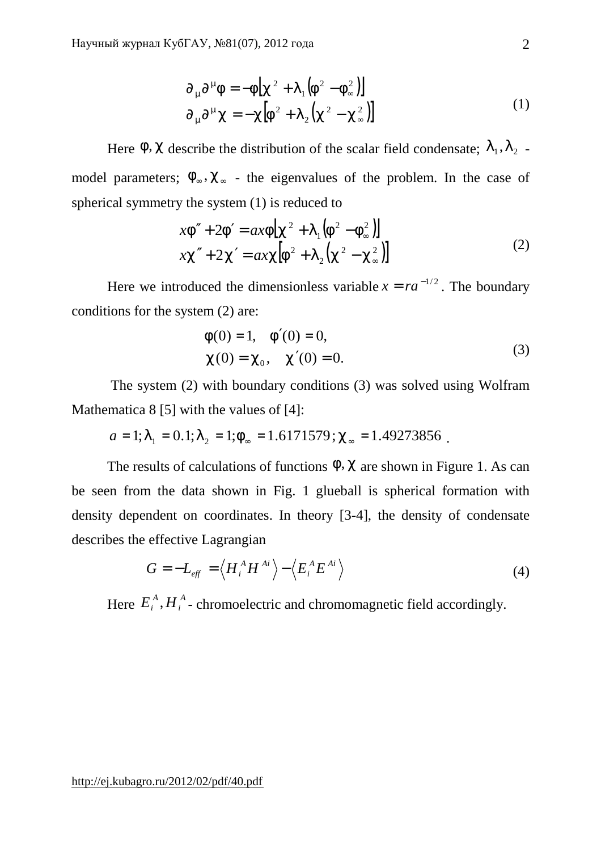$$
\partial_{m} \partial^{m} f = -f[c^{2} + I_{1}(f^{2} - f_{\infty}^{2})]
$$
  
\n
$$
\partial_{m} \partial^{m} c = -c[f^{2} + I_{2}(c^{2} - c_{\infty}^{2})]
$$
\n(1)

Here *f*, *c* describe the distribution of the scalar field condensate;  $l_1$ ,  $l_2$ . model parameters;  $f_{\infty}, c_{\infty}$  - the eigenvalues of the problem. In the case of spherical symmetry the system (1) is reduced to

$$
xf'' + 2f' = axf[c^{2} + I_{1}(f^{2} - f_{\infty}^{2})]
$$
  

$$
xc'' + 2c' = axc[f^{2} + I_{2}(c^{2} - c_{\infty}^{2})]
$$
 (2)

Here we introduced the dimensionless variable  $x = ra^{-1/2}$ . The boundary conditions for the system (2) are:

$$
f(0) = 1, \quad f'(0) = 0,
$$
  
\n
$$
c(0) = c_0, \quad c'(0) = 0.
$$
\n(3)

The system (2) with boundary conditions (3) was solved using Wolfram Mathematica 8 [5] with the values of [4]:

$$
a = 1
$$
;  $I_1 = 0.1$ ;  $I_2 = 1$ ;  $f_\infty = 1.6171579$ ;  $c_\infty = 1.49273856$ .

The results of calculations of functions *f*, *c* are shown in Figure 1. As can be seen from the data shown in Fig. 1 glueball is spherical formation with density dependent on coordinates. In theory [3-4], the density of condensate describes the effective Lagrangian

$$
G = -L_{\text{eff}} = \left\langle H_i^A H^{Ai} \right\rangle - \left\langle E_i^A E^{Ai} \right\rangle \tag{4}
$$

Here  $E_i^A, H_i^A$  $E_i^A$ ,  $H_i^A$  - chromoelectric and chromomagnetic field accordingly.

<http://ej.kubagro.ru/2012/02/pdf/40.pdf>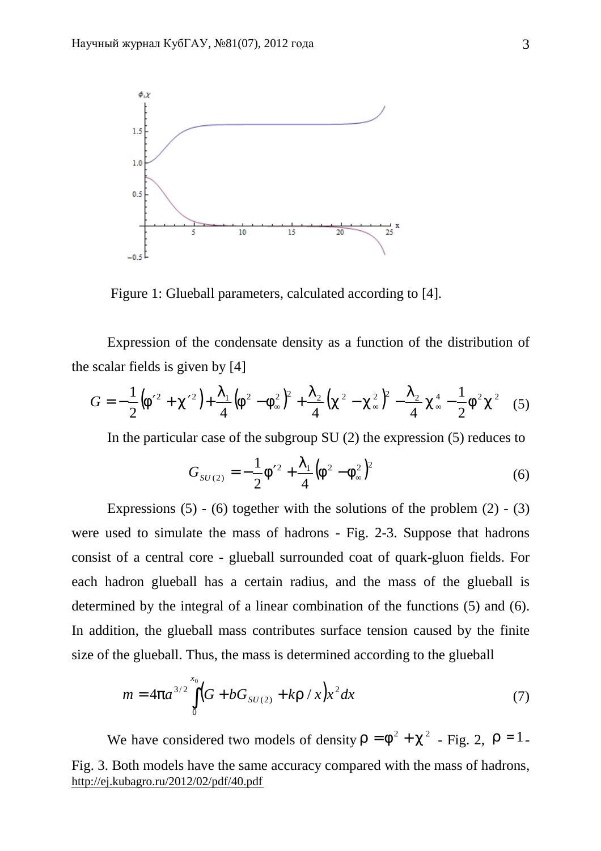

Figure 1: Glueball parameters, calculated according to [4].

Expression of the condensate density as a function of the distribution of the scalar fields is given by [4]

$$
G = -\frac{1}{2} (f'^2 + c'^2) + \frac{I_1}{4} (f^2 - f_\infty^2)^2 + \frac{I_2}{4} (c^2 - c_\infty^2)^2 - \frac{I_2}{4} c_\infty^4 - \frac{1}{2} f^2 c^2
$$
 (5)

In the particular case of the subgroup SU (2) the expression (5) reduces to

$$
G_{SU(2)} = -\frac{1}{2}f'^2 + \frac{I_1}{4}(f^2 - f_\infty^2)^2
$$
 (6)

Expressions  $(5)$  -  $(6)$  together with the solutions of the problem  $(2)$  -  $(3)$ were used to simulate the mass of hadrons - Fig. 2-3. Suppose that hadrons consist of a central core - glueball surrounded coat of quark-gluon fields. For each hadron glueball has a certain radius, and the mass of the glueball is determined by the integral of a linear combination of the functions (5) and (6). In addition, the glueball mass contributes surface tension caused by the finite size of the glueball. Thus, the mass is determined according to the glueball

$$
m = 4pa^{3/2} \int_{0}^{x_0} \left(G + bG_{SU(2)} + kr / x\right) x^2 dx\tag{7}
$$

<http://ej.kubagro.ru/2012/02/pdf/40.pdf> We have considered two models of density  $r = f^2 + c^2$  - Fig. 2,  $r = 1$ . Fig. 3. Both models have the same accuracy compared with the mass of hadrons,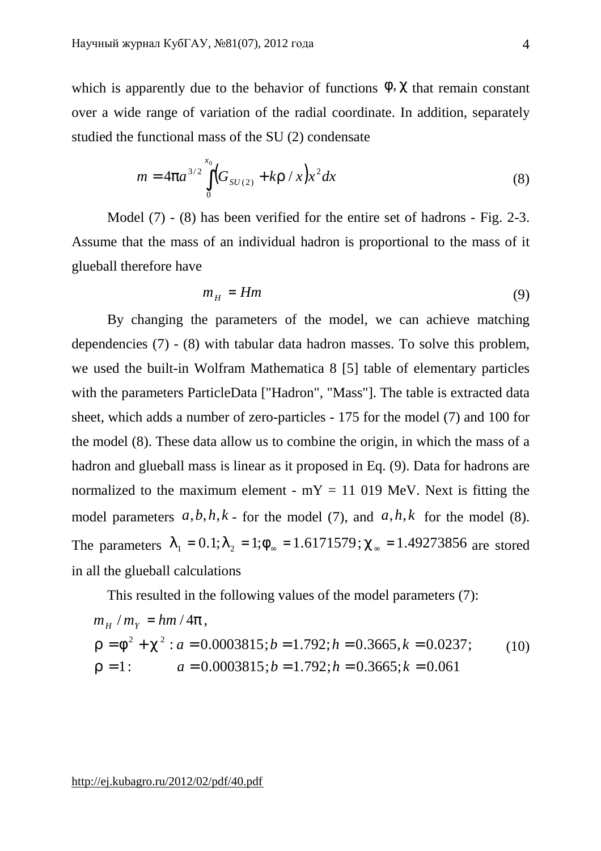which is apparently due to the behavior of functions  $f$ ,  $c$  that remain constant over a wide range of variation of the radial coordinate. In addition, separately studied the functional mass of the SU (2) condensate

$$
m = 4pa^{3/2} \int_{0}^{x_0} \left( G_{SU(2)} + kr / x \right) x^2 dx \tag{8}
$$

Model (7) - (8) has been verified for the entire set of hadrons - Fig. 2-3. Assume that the mass of an individual hadron is proportional to the mass of it glueball therefore have

$$
m_H = Hm \tag{9}
$$

By changing the parameters of the model, we can achieve matching dependencies (7) - (8) with tabular data hadron masses. To solve this problem, we used the built-in Wolfram Mathematica 8 [5] table of elementary particles with the parameters ParticleData ["Hadron", "Mass"]. The table is extracted data sheet, which adds a number of zero-particles - 175 for the model (7) and 100 for the model (8). These data allow us to combine the origin, in which the mass of a hadron and glueball mass is linear as it proposed in Eq. (9). Data for hadrons are normalized to the maximum element -  $mY = 11019$  MeV. Next is fitting the model parameters  $a, b, h, k$  - for the model (7), and  $a, h, k$  for the model (8). The parameters  $I_1 = 0.1; I_2 = 1; f_{\infty} = 1.6171579; C_{\infty} = 1.49273856$  are stored in all the glueball calculations

This resulted in the following values of the model parameters (7):

$$
m_H / m_Y = h m / 4p,
$$
  
\n
$$
r = f^2 + c^2 : a = 0.0003815; b = 1.792; h = 0.3665, k = 0.0237;
$$
  
\n
$$
r = 1: a = 0.0003815; b = 1.792; h = 0.3665; k = 0.061
$$
  
\n(10)

<http://ej.kubagro.ru/2012/02/pdf/40.pdf>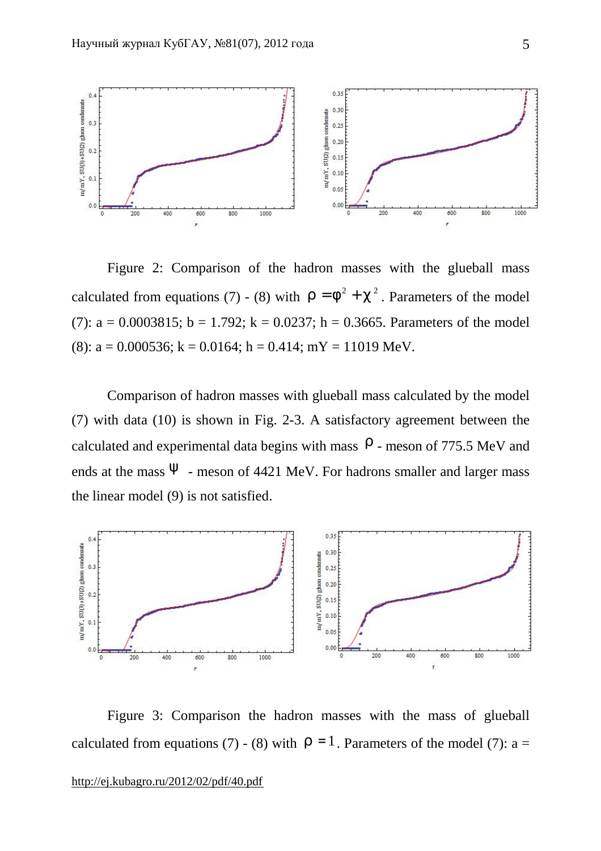

Figure 2: Comparison of the hadron masses with the glueball mass calculated from equations (7) - (8) with  $r = f^2 + c^2$ . Parameters of the model (7):  $a = 0.0003815$ ;  $b = 1.792$ ;  $k = 0.0237$ ;  $h = 0.3665$ . Parameters of the model (8):  $a = 0.000536$ ;  $k = 0.0164$ ;  $h = 0.414$ ;  $mY = 11019$  MeV.

Comparison of hadron masses with glueball mass calculated by the model (7) with data (10) is shown in Fig. 2-3. A satisfactory agreement between the calculated and experimental data begins with mass  $r$  - meson of 775.5 MeV and ends at the mass  *- meson of 4421 MeV. For hadrons smaller and larger mass* the linear model (9) is not satisfied.



Figure 3: Comparison the hadron masses with the mass of glueball calculated from equations (7) - (8) with  $r = 1$ . Parameters of the model (7): a =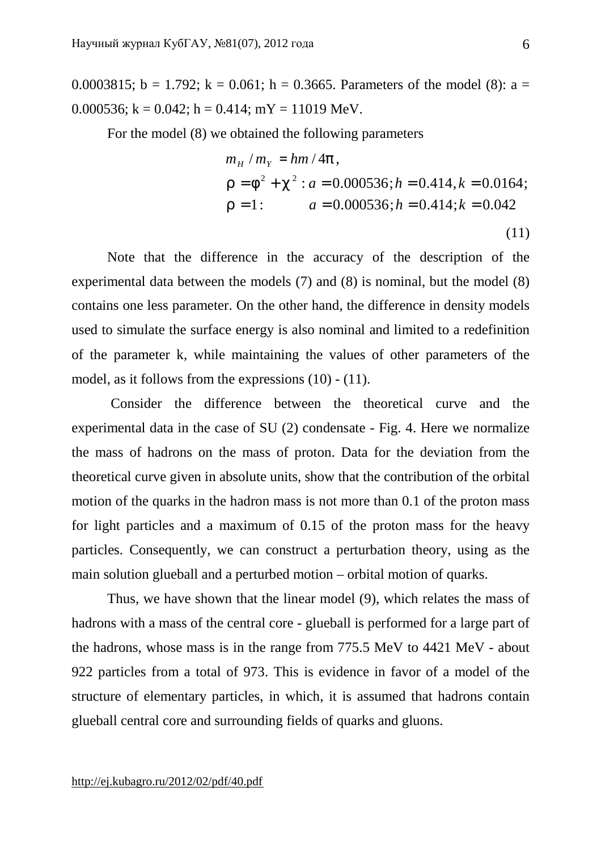0.0003815;  $b = 1.792$ ;  $k = 0.061$ ;  $h = 0.3665$ . Parameters of the model (8):  $a =$ 0.000536;  $k = 0.042$ ;  $h = 0.414$ ;  $mY = 11019$  MeV.

For the model (8) we obtained the following parameters

$$
m_{H} / m_{Y} = h m / 4p,
$$
  
\n
$$
r = f^{2} + c^{2} : a = 0.000536; h = 0.414, k = 0.0164;
$$
  
\n
$$
r = 1: \t a = 0.000536; h = 0.414; k = 0.042
$$
  
\n(11)

Note that the difference in the accuracy of the description of the experimental data between the models (7) and (8) is nominal, but the model (8) contains one less parameter. On the other hand, the difference in density models used to simulate the surface energy is also nominal and limited to a redefinition of the parameter k, while maintaining the values of other parameters of the model, as it follows from the expressions (10) - (11).

Consider the difference between the theoretical curve and the experimental data in the case of SU (2) condensate - Fig. 4. Here we normalize the mass of hadrons on the mass of proton. Data for the deviation from the theoretical curve given in absolute units, show that the contribution of the orbital motion of the quarks in the hadron mass is not more than 0.1 of the proton mass for light particles and a maximum of 0.15 of the proton mass for the heavy particles. Consequently, we can construct a perturbation theory, using as the main solution glueball and a perturbed motion – orbital motion of quarks.

Thus, we have shown that the linear model (9), which relates the mass of hadrons with a mass of the central core - glueball is performed for a large part of the hadrons, whose mass is in the range from 775.5 MeV to 4421 MeV - about 922 particles from a total of 973. This is evidence in favor of a model of the structure of elementary particles, in which, it is assumed that hadrons contain glueball central core and surrounding fields of quarks and gluons.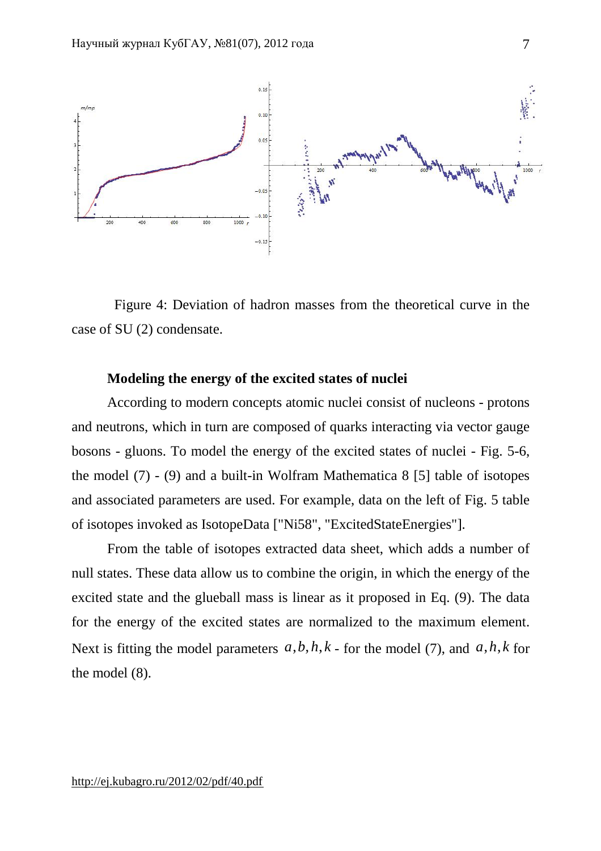

 Figure 4: Deviation of hadron masses from the theoretical curve in the case of SU (2) condensate.

### **Modeling the energy of the excited states of nuclei**

According to modern concepts atomic nuclei consist of nucleons - protons and neutrons, which in turn are composed of quarks interacting via vector gauge bosons - gluons. To model the energy of the excited states of nuclei - Fig. 5-6, the model (7) - (9) and a built-in Wolfram Mathematica 8 [5] table of isotopes and associated parameters are used. For example, data on the left of Fig. 5 table of isotopes invoked as IsotopeData ["Ni58", "ExcitedStateEnergies"].

From the table of isotopes extracted data sheet, which adds a number of null states. These data allow us to combine the origin, in which the energy of the excited state and the glueball mass is linear as it proposed in Eq. (9). The data for the energy of the excited states are normalized to the maximum element. Next is fitting the model parameters  $a, b, h, k$  - for the model (7), and  $a, h, k$  for the model (8).

7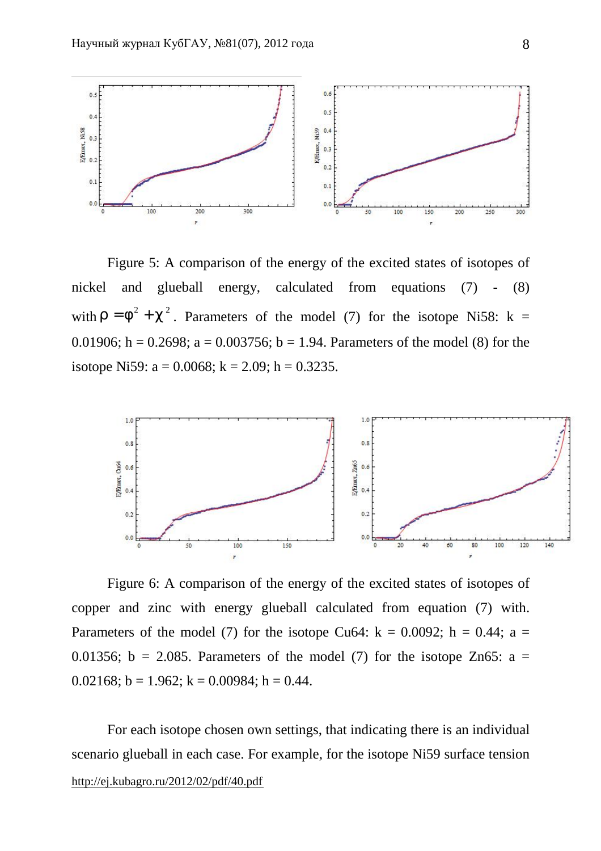

Figure 5: A comparison of the energy of the excited states of isotopes of nickel and glueball energy, calculated from equations (7) - (8) with  $r = f^2 + c^2$ . Parameters of the model (7) for the isotope Ni58: k = 0.01906; h = 0.2698; a = 0.003756; b = 1.94. Parameters of the model (8) for the isotope Ni59:  $a = 0.0068$ ;  $k = 2.09$ ;  $h = 0.3235$ .



Figure 6: A comparison of the energy of the excited states of isotopes of copper and zinc with energy glueball calculated from equation (7) with. Parameters of the model (7) for the isotope Cu64:  $k = 0.0092$ ;  $h = 0.44$ ;  $a =$ 0.01356;  $b = 2.085$ . Parameters of the model (7) for the isotope Zn65:  $a =$ 0.02168;  $b = 1.962$ ;  $k = 0.00984$ ;  $h = 0.44$ .

<http://ej.kubagro.ru/2012/02/pdf/40.pdf> For each isotope chosen own settings, that indicating there is an individual scenario glueball in each case. For example, for the isotope Ni59 surface tension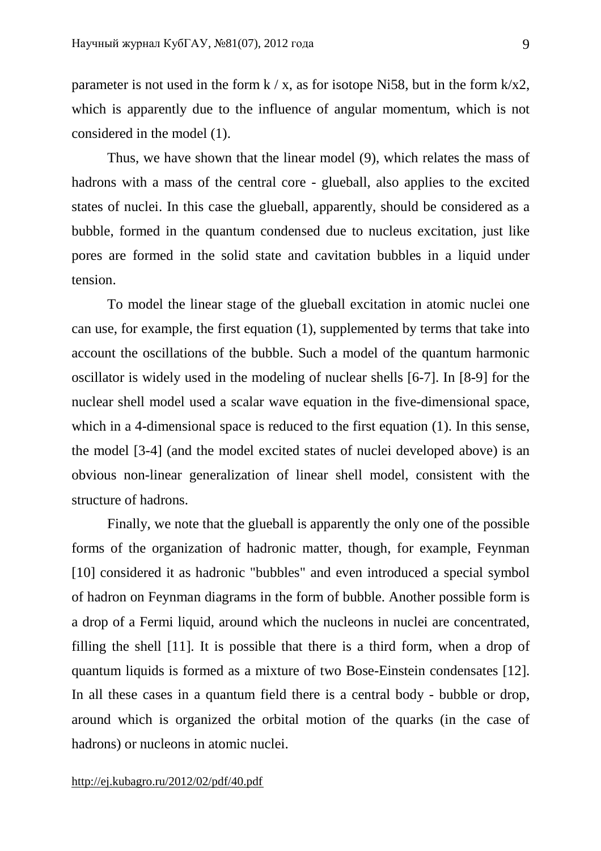parameter is not used in the form  $k / x$ , as for isotope Ni58, but in the form  $k / x$ , which is apparently due to the influence of angular momentum, which is not considered in the model (1).

Thus, we have shown that the linear model (9), which relates the mass of hadrons with a mass of the central core - glueball, also applies to the excited states of nuclei. In this case the glueball, apparently, should be considered as a bubble, formed in the quantum condensed due to nucleus excitation, just like pores are formed in the solid state and cavitation bubbles in a liquid under tension.

To model the linear stage of the glueball excitation in atomic nuclei one can use, for example, the first equation (1), supplemented by terms that take into account the oscillations of the bubble. Such a model of the quantum harmonic oscillator is widely used in the modeling of nuclear shells [6-7]. In [8-9] for the nuclear shell model used a scalar wave equation in the five-dimensional space, which in a 4-dimensional space is reduced to the first equation (1). In this sense, the model [3-4] (and the model excited states of nuclei developed above) is an obvious non-linear generalization of linear shell model, consistent with the structure of hadrons.

Finally, we note that the glueball is apparently the only one of the possible forms of the organization of hadronic matter, though, for example, Feynman [10] considered it as hadronic "bubbles" and even introduced a special symbol of hadron on Feynman diagrams in the form of bubble. Another possible form is a drop of a Fermi liquid, around which the nucleons in nuclei are concentrated, filling the shell [11]. It is possible that there is a third form, when a drop of quantum liquids is formed as a mixture of two Bose-Einstein condensates [12]. In all these cases in a quantum field there is a central body - bubble or drop, around which is organized the orbital motion of the quarks (in the case of hadrons) or nucleons in atomic nuclei.